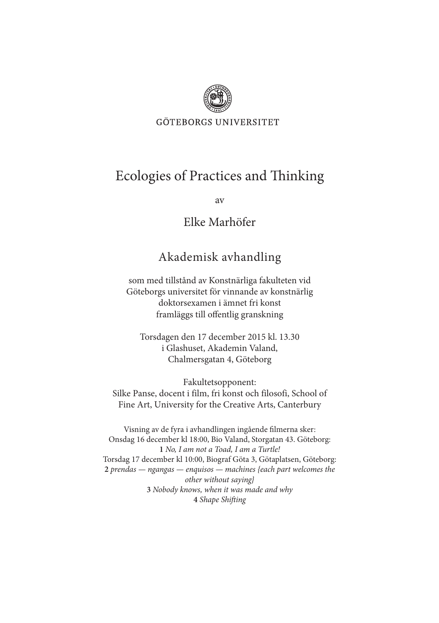

**GÖTEBORGS UNIVERSITET** 

## Ecologies of Practices and Thinking

av

## Elke Marhöfer

## Akademisk avhandling

som med tillstånd av Konstnärliga fakulteten vid Göteborgs universitet för vinnande av konstnärlig doktorsexamen i ämnet fri konst framläggs till offentlig granskning

Torsdagen den 17 december 2015 kl. 13.30 i Glashuset, Akademin Valand, Chalmersgatan 4, Göteborg

Fakultetsopponent: Silke Panse, docent i film, fri konst och filosofi, School of Fine Art, University for the Creative Arts, Canterbury

Visning av de fyra i avhandlingen ingående filmerna sker: Onsdag 16 december kl 18:00, Bio Valand, Storgatan 43. Göteborg: **1** *No, I am not a Toad, I am a Turtle!*  Torsdag 17 december kl 10:00, Biograf Göta 3, Götaplatsen, Göteborg: **2** *prendas — ngangas — enquisos — machines {each part welcomes the other without saying}*  **3** *Nobody knows, when it was made and why* **4** *Shape Shifting*